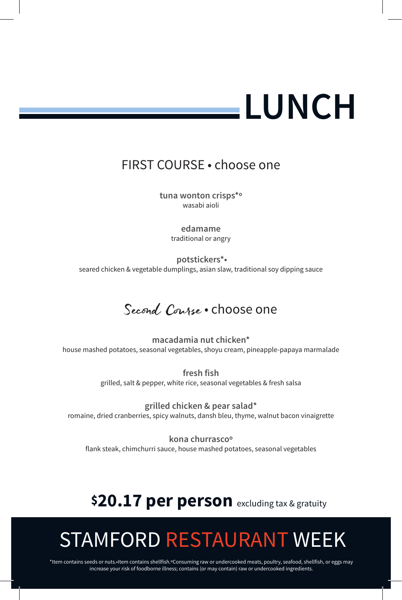# **LUNCH**

### FIRST COURSE • choose one

**tuna wonton crisps\*º** wasabi aioli

> **edamame** traditional or angry

**potstickers\*•** seared chicken & vegetable dumplings, asian slaw, traditional soy dipping sauce

## Second Course . choose one

**macadamia nut chicken\*** house mashed potatoes, seasonal vegetables, shoyu cream, pineapple-papaya marmalade

> **fresh fish** grilled, salt & pepper, white rice, seasonal vegetables & fresh salsa

**grilled chicken & pear salad\*** romaine, dried cranberries, spicy walnuts, dansh bleu, thyme, walnut bacon vinaigrette

**kona churrascoº** flank steak, chimchurri sauce, house mashed potatoes, seasonal vegetables

## **\$20.17 per person** excluding tax & gratuity

# STAMFORD RESTAURANT WEEK

\*Item contains seeds or nuts.•Item contains shellfish.ºConsuming raw or undercooked meats, poultry, seafood, shellfish, or eggs may increase your risk of foodborne illness; contains (or may contain) raw or undercooked ingredients.